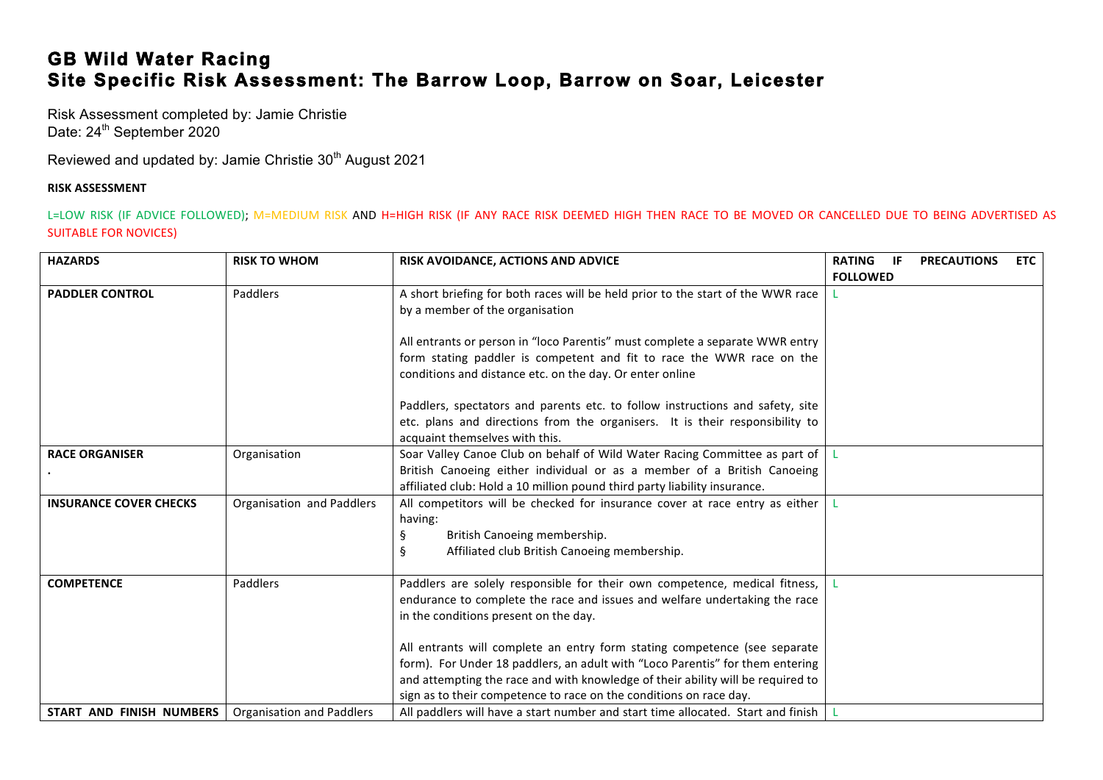## **GB Wild Water Racing Site Specific Risk Assessment: The Barrow Loop, Barrow on Soar, Leicester**

Risk Assessment completed by: Jamie Christie Date: 24<sup>th</sup> September 2020

Reviewed and updated by: Jamie Christie 30<sup>th</sup> August 2021

## **RISK ASSESSMENT**

L=LOW RISK (IF ADVICE FOLLOWED); M=MEDIUM RISK AND H=HIGH RISK (IF ANY RACE RISK DEEMED HIGH THEN RACE TO BE MOVED OR CANCELLED DUE TO BEING ADVERTISED AS **SUITABLE FOR NOVICES)** 

| <b>HAZARDS</b>                                              | <b>RISK TO WHOM</b>       | RISK AVOIDANCE, ACTIONS AND ADVICE                                                                                                                                                                                                                                                                                                                              | <b>RATING</b><br>-IF<br><b>FOLLOWED</b> | <b>PRECAUTIONS</b> | <b>ETC</b> |
|-------------------------------------------------------------|---------------------------|-----------------------------------------------------------------------------------------------------------------------------------------------------------------------------------------------------------------------------------------------------------------------------------------------------------------------------------------------------------------|-----------------------------------------|--------------------|------------|
| <b>PADDLER CONTROL</b>                                      | Paddlers                  | A short briefing for both races will be held prior to the start of the WWR race<br>by a member of the organisation                                                                                                                                                                                                                                              |                                         |                    |            |
|                                                             |                           | All entrants or person in "loco Parentis" must complete a separate WWR entry<br>form stating paddler is competent and fit to race the WWR race on the<br>conditions and distance etc. on the day. Or enter online                                                                                                                                               |                                         |                    |            |
|                                                             |                           | Paddlers, spectators and parents etc. to follow instructions and safety, site<br>etc. plans and directions from the organisers. It is their responsibility to<br>acquaint themselves with this.                                                                                                                                                                 |                                         |                    |            |
| <b>RACE ORGANISER</b>                                       | Organisation              | Soar Valley Canoe Club on behalf of Wild Water Racing Committee as part of<br>British Canoeing either individual or as a member of a British Canoeing<br>affiliated club: Hold a 10 million pound third party liability insurance.                                                                                                                              |                                         |                    |            |
| <b>INSURANCE COVER CHECKS</b>                               | Organisation and Paddlers | All competitors will be checked for insurance cover at race entry as either<br>having:<br>British Canoeing membership.<br>ş<br>Affiliated club British Canoeing membership.<br>ঽ                                                                                                                                                                                |                                         |                    |            |
| <b>COMPETENCE</b>                                           | Paddlers                  | Paddlers are solely responsible for their own competence, medical fitness,<br>endurance to complete the race and issues and welfare undertaking the race<br>in the conditions present on the day.<br>All entrants will complete an entry form stating competence (see separate<br>form). For Under 18 paddlers, an adult with "Loco Parentis" for them entering |                                         |                    |            |
| <b>START AND FINISH NUMBERS</b>   Organisation and Paddlers |                           | and attempting the race and with knowledge of their ability will be required to<br>sign as to their competence to race on the conditions on race day.<br>All paddlers will have a start number and start time allocated. Start and finish                                                                                                                       |                                         |                    |            |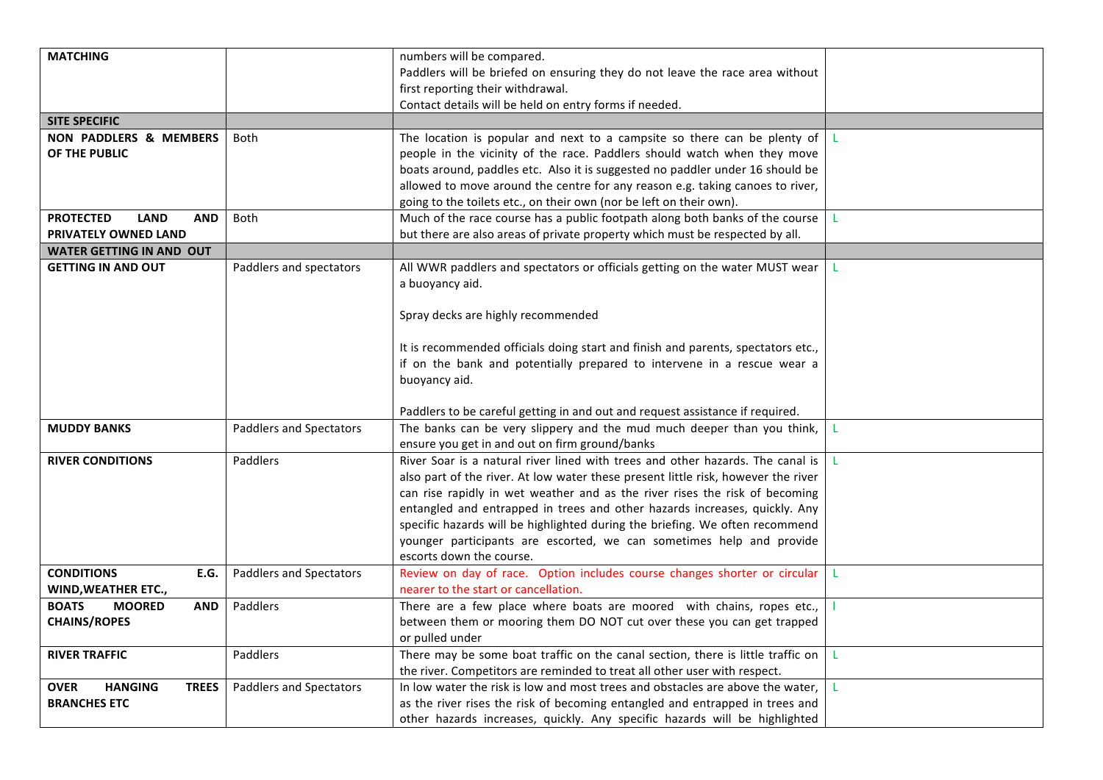| <b>MATCHING</b>                                                      |                                | numbers will be compared.<br>Paddlers will be briefed on ensuring they do not leave the race area without                                                                                                                                                                                                                                                                                                                                                                                                            |  |
|----------------------------------------------------------------------|--------------------------------|----------------------------------------------------------------------------------------------------------------------------------------------------------------------------------------------------------------------------------------------------------------------------------------------------------------------------------------------------------------------------------------------------------------------------------------------------------------------------------------------------------------------|--|
|                                                                      |                                | first reporting their withdrawal.<br>Contact details will be held on entry forms if needed.                                                                                                                                                                                                                                                                                                                                                                                                                          |  |
| <b>SITE SPECIFIC</b>                                                 |                                |                                                                                                                                                                                                                                                                                                                                                                                                                                                                                                                      |  |
| NON PADDLERS & MEMBERS<br>OF THE PUBLIC                              | <b>Both</b>                    | The location is popular and next to a campsite so there can be plenty of<br>people in the vicinity of the race. Paddlers should watch when they move<br>boats around, paddles etc. Also it is suggested no paddler under 16 should be<br>allowed to move around the centre for any reason e.g. taking canoes to river,<br>going to the toilets etc., on their own (nor be left on their own).                                                                                                                        |  |
| <b>PROTECTED</b><br><b>LAND</b><br><b>AND</b>                        | <b>Both</b>                    | Much of the race course has a public footpath along both banks of the course                                                                                                                                                                                                                                                                                                                                                                                                                                         |  |
| PRIVATELY OWNED LAND                                                 |                                | but there are also areas of private property which must be respected by all.                                                                                                                                                                                                                                                                                                                                                                                                                                         |  |
| <b>WATER GETTING IN AND OUT</b>                                      |                                |                                                                                                                                                                                                                                                                                                                                                                                                                                                                                                                      |  |
| <b>GETTING IN AND OUT</b>                                            | Paddlers and spectators        | All WWR paddlers and spectators or officials getting on the water MUST wear<br>a buoyancy aid.<br>Spray decks are highly recommended<br>It is recommended officials doing start and finish and parents, spectators etc.,<br>if on the bank and potentially prepared to intervene in a rescue wear a<br>buoyancy aid.                                                                                                                                                                                                 |  |
|                                                                      |                                | Paddlers to be careful getting in and out and request assistance if required.                                                                                                                                                                                                                                                                                                                                                                                                                                        |  |
| <b>MUDDY BANKS</b>                                                   | <b>Paddlers and Spectators</b> | The banks can be very slippery and the mud much deeper than you think,<br>ensure you get in and out on firm ground/banks                                                                                                                                                                                                                                                                                                                                                                                             |  |
| <b>RIVER CONDITIONS</b>                                              | Paddlers                       | River Soar is a natural river lined with trees and other hazards. The canal is<br>also part of the river. At low water these present little risk, however the river<br>can rise rapidly in wet weather and as the river rises the risk of becoming<br>entangled and entrapped in trees and other hazards increases, quickly. Any<br>specific hazards will be highlighted during the briefing. We often recommend<br>younger participants are escorted, we can sometimes help and provide<br>escorts down the course. |  |
| <b>CONDITIONS</b><br>E.G.<br>WIND, WEATHER ETC.,                     | <b>Paddlers and Spectators</b> | Review on day of race. Option includes course changes shorter or circular<br>nearer to the start or cancellation.                                                                                                                                                                                                                                                                                                                                                                                                    |  |
| <b>BOATS</b><br><b>MOORED</b><br><b>AND</b><br><b>CHAINS/ROPES</b>   | Paddlers                       | There are a few place where boats are moored with chains, ropes etc.,<br>between them or mooring them DO NOT cut over these you can get trapped<br>or pulled under                                                                                                                                                                                                                                                                                                                                                   |  |
| <b>RIVER TRAFFIC</b>                                                 | Paddlers                       | There may be some boat traffic on the canal section, there is little traffic on<br>the river. Competitors are reminded to treat all other user with respect.                                                                                                                                                                                                                                                                                                                                                         |  |
| <b>OVER</b><br><b>HANGING</b><br><b>TREES</b><br><b>BRANCHES ETC</b> | <b>Paddlers and Spectators</b> | In low water the risk is low and most trees and obstacles are above the water,<br>as the river rises the risk of becoming entangled and entrapped in trees and<br>other hazards increases, quickly. Any specific hazards will be highlighted                                                                                                                                                                                                                                                                         |  |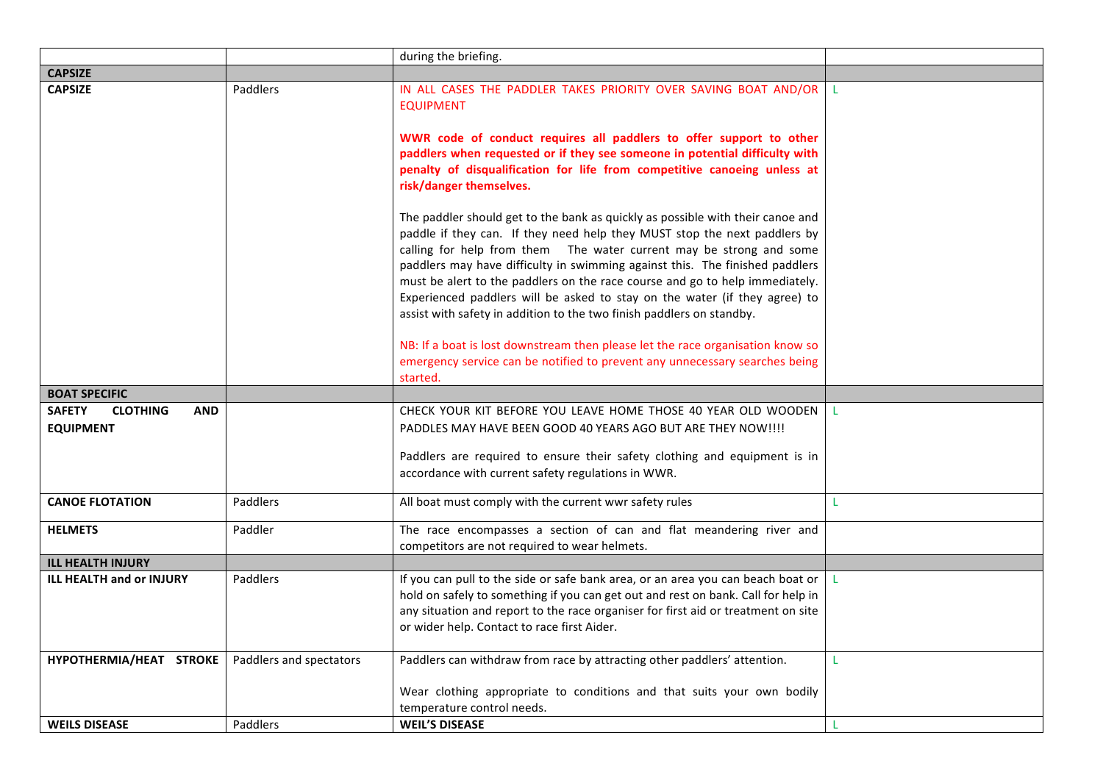|                                                                    |                         | during the briefing.                                                                                                                                                                                                                                                                                                                                                                                                                                                                                                                                                                                                                                                                                                                   |  |
|--------------------------------------------------------------------|-------------------------|----------------------------------------------------------------------------------------------------------------------------------------------------------------------------------------------------------------------------------------------------------------------------------------------------------------------------------------------------------------------------------------------------------------------------------------------------------------------------------------------------------------------------------------------------------------------------------------------------------------------------------------------------------------------------------------------------------------------------------------|--|
| <b>CAPSIZE</b>                                                     |                         |                                                                                                                                                                                                                                                                                                                                                                                                                                                                                                                                                                                                                                                                                                                                        |  |
| <b>CAPSIZE</b>                                                     | Paddlers                | IN ALL CASES THE PADDLER TAKES PRIORITY OVER SAVING BOAT AND/OR<br><b>EQUIPMENT</b><br>WWR code of conduct requires all paddlers to offer support to other<br>paddlers when requested or if they see someone in potential difficulty with<br>penalty of disqualification for life from competitive canoeing unless at<br>risk/danger themselves.                                                                                                                                                                                                                                                                                                                                                                                       |  |
|                                                                    |                         | The paddler should get to the bank as quickly as possible with their canoe and<br>paddle if they can. If they need help they MUST stop the next paddlers by<br>calling for help from them The water current may be strong and some<br>paddlers may have difficulty in swimming against this. The finished paddlers<br>must be alert to the paddlers on the race course and go to help immediately.<br>Experienced paddlers will be asked to stay on the water (if they agree) to<br>assist with safety in addition to the two finish paddlers on standby.<br>NB: If a boat is lost downstream then please let the race organisation know so<br>emergency service can be notified to prevent any unnecessary searches being<br>started. |  |
| <b>BOAT SPECIFIC</b>                                               |                         |                                                                                                                                                                                                                                                                                                                                                                                                                                                                                                                                                                                                                                                                                                                                        |  |
| <b>SAFETY</b><br><b>CLOTHING</b><br><b>AND</b><br><b>EQUIPMENT</b> |                         | CHECK YOUR KIT BEFORE YOU LEAVE HOME THOSE 40 YEAR OLD WOODEN<br>PADDLES MAY HAVE BEEN GOOD 40 YEARS AGO BUT ARE THEY NOW !!!!<br>Paddlers are required to ensure their safety clothing and equipment is in                                                                                                                                                                                                                                                                                                                                                                                                                                                                                                                            |  |
|                                                                    |                         | accordance with current safety regulations in WWR.                                                                                                                                                                                                                                                                                                                                                                                                                                                                                                                                                                                                                                                                                     |  |
| <b>CANOE FLOTATION</b>                                             | Paddlers                | All boat must comply with the current wwr safety rules                                                                                                                                                                                                                                                                                                                                                                                                                                                                                                                                                                                                                                                                                 |  |
| <b>HELMETS</b>                                                     | Paddler                 | The race encompasses a section of can and flat meandering river and<br>competitors are not required to wear helmets.                                                                                                                                                                                                                                                                                                                                                                                                                                                                                                                                                                                                                   |  |
| <b>ILL HEALTH INJURY</b>                                           |                         |                                                                                                                                                                                                                                                                                                                                                                                                                                                                                                                                                                                                                                                                                                                                        |  |
| <b>ILL HEALTH and or INJURY</b>                                    | Paddlers                | If you can pull to the side or safe bank area, or an area you can beach boat or<br>hold on safely to something if you can get out and rest on bank. Call for help in<br>any situation and report to the race organiser for first aid or treatment on site<br>or wider help. Contact to race first Aider.                                                                                                                                                                                                                                                                                                                                                                                                                               |  |
| HYPOTHERMIA/HEAT STROKE                                            | Paddlers and spectators | Paddlers can withdraw from race by attracting other paddlers' attention.<br>Wear clothing appropriate to conditions and that suits your own bodily<br>temperature control needs.                                                                                                                                                                                                                                                                                                                                                                                                                                                                                                                                                       |  |
| <b>WEILS DISEASE</b>                                               | Paddlers                | <b>WEIL'S DISEASE</b>                                                                                                                                                                                                                                                                                                                                                                                                                                                                                                                                                                                                                                                                                                                  |  |